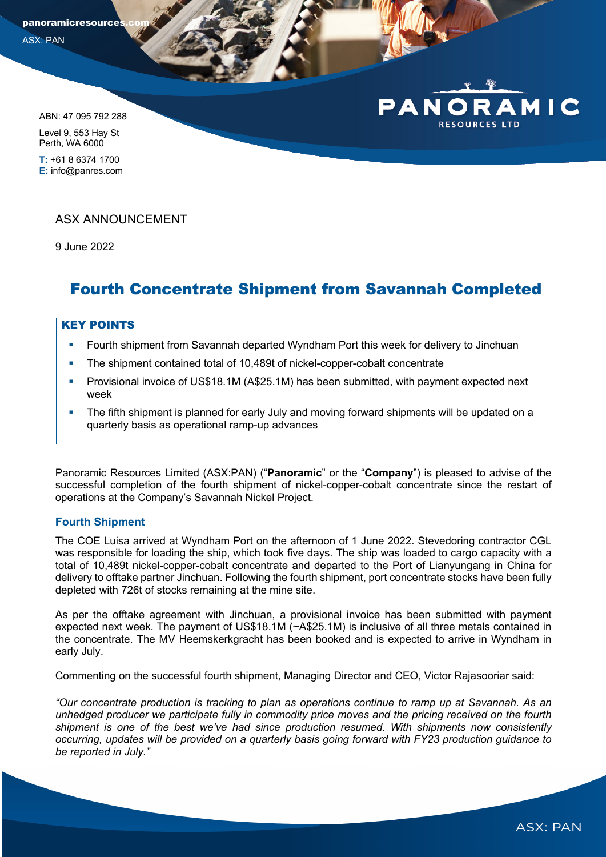panoramicresources ASX: PAN

ABN: 47 095 792 288

Level 9, 553 Hay St Perth, WA 6000

**T:** +61 8 6374 1700 **E:** info@panres.com

## ASX ANNOUNCEMENT

9 June 2022

# Fourth Concentrate Shipment from Savannah Completed

### KEY POINTS

- Fourth shipment from Savannah departed Wyndham Port this week for delivery to Jinchuan
- The shipment contained total of 10,489t of nickel-copper-cobalt concentrate
- § Provisional invoice of US\$18.1M (A\$25.1M) has been submitted, with payment expected next week
- The fifth shipment is planned for early July and moving forward shipments will be updated on a quarterly basis as operational ramp-up advances

Panoramic Resources Limited (ASX:PAN) ("**Panoramic**" or the "**Company**") is pleased to advise of the successful completion of the fourth shipment of nickel-copper-cobalt concentrate since the restart of operations at the Company's Savannah Nickel Project.

### **Fourth Shipment**

The COE Luisa arrived at Wyndham Port on the afternoon of 1 June 2022. Stevedoring contractor CGL was responsible for loading the ship, which took five days. The ship was loaded to cargo capacity with a total of 10,489t nickel-copper-cobalt concentrate and departed to the Port of Lianyungang in China for delivery to offtake partner Jinchuan. Following the fourth shipment, port concentrate stocks have been fully depleted with 726t of stocks remaining at the mine site.

As per the offtake agreement with Jinchuan, a provisional invoice has been submitted with payment expected next week. The payment of US\$18.1M (~A\$25.1M) is inclusive of all three metals contained in the concentrate. The MV Heemskerkgracht has been booked and is expected to arrive in Wyndham in early July.

Commenting on the successful fourth shipment, Managing Director and CEO, Victor Rajasooriar said:

*"Our concentrate production is tracking to plan as operations continue to ramp up at Savannah. As an unhedged producer we participate fully in commodity price moves and the pricing received on the fourth shipment is one of the best we've had since production resumed. With shipments now consistently occurring, updates will be provided on a quarterly basis going forward with FY23 production guidance to be reported in July."* 

MIC